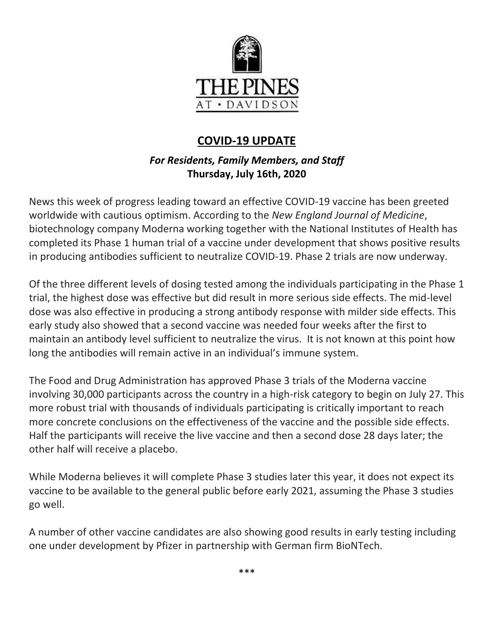

# **COVID-19 UPDATE**

# *For Residents, Family Members, and Staff* **Thursday, July 16th, 2020**

News this week of progress leading toward an effective COVID-19 vaccine has been greeted worldwide with cautious optimism. According to the *New England Journal of Medicine*, biotechnology company Moderna working together with the National Institutes of Health has completed its Phase 1 human trial of a vaccine under development that shows positive results in producing antibodies sufficient to neutralize COVID-19. Phase 2 trials are now underway.

Of the three different levels of dosing tested among the individuals participating in the Phase 1 trial, the highest dose was effective but did result in more serious side effects. The mid-level dose was also effective in producing a strong antibody response with milder side effects. This early study also showed that a second vaccine was needed four weeks after the first to maintain an antibody level sufficient to neutralize the virus. It is not known at this point how long the antibodies will remain active in an individual's immune system.

The Food and Drug Administration has approved Phase 3 trials of the Moderna vaccine involving 30,000 participants across the country in a high-risk category to begin on July 27. This more robust trial with thousands of individuals participating is critically important to reach more concrete conclusions on the effectiveness of the vaccine and the possible side effects. Half the participants will receive the live vaccine and then a second dose 28 days later; the other half will receive a placebo.

While Moderna believes it will complete Phase 3 studies later this year, it does not expect its vaccine to be available to the general public before early 2021, assuming the Phase 3 studies go well.

A number of other vaccine candidates are also showing good results in early testing including one under development by Pfizer in partnership with German firm BioNTech.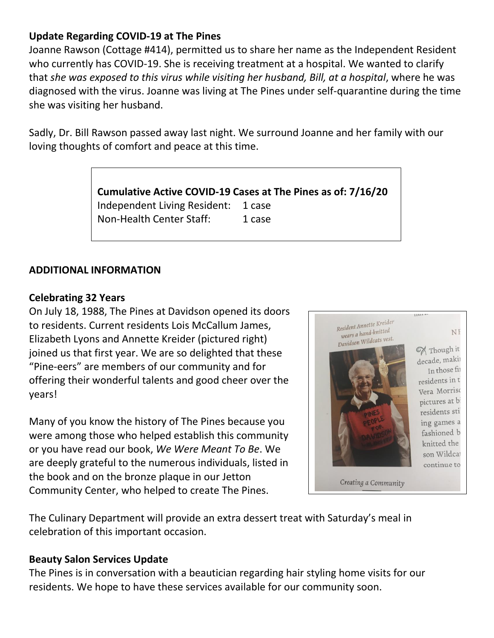### **Update Regarding COVID-19 at The Pines**

Joanne Rawson (Cottage #414), permitted us to share her name as the Independent Resident who currently has COVID-19. She is receiving treatment at a hospital. We wanted to clarify that *she was exposed to this virus while visiting her husband, Bill, at a hospital*, where he was diagnosed with the virus. Joanne was living at The Pines under self-quarantine during the time she was visiting her husband.

Sadly, Dr. Bill Rawson passed away last night. We surround Joanne and her family with our loving thoughts of comfort and peace at this time.

> **Cumulative Active COVID-19 Cases at The Pines as of: 7/16/20** Independent Living Resident: 1 case Non-Health Center Staff: 1 case

#### **ADDITIONAL INFORMATION**

#### **Celebrating 32 Years**

On July 18, 1988, The Pines at Davidson opened its doors to residents. Current residents Lois McCallum James, Elizabeth Lyons and Annette Kreider (pictured right) joined us that first year. We are so delighted that these "Pine-eers" are members of our community and for offering their wonderful talents and good cheer over the years!

Many of you know the history of The Pines because you were among those who helped establish this community or you have read our book, *We Were Meant To Be*. We are deeply grateful to the numerous individuals, listed in the book and on the bronze plaque in our Jetton Community Center, who helped to create The Pines.



The Culinary Department will provide an extra dessert treat with Saturday's meal in celebration of this important occasion.

#### **Beauty Salon Services Update**

The Pines is in conversation with a beautician regarding hair styling home visits for our residents. We hope to have these services available for our community soon.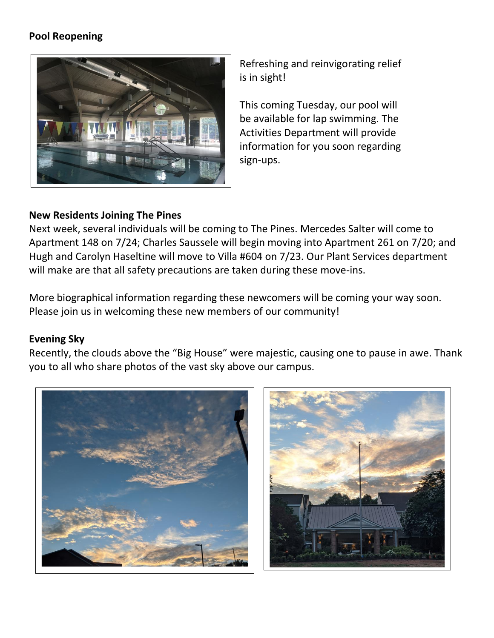## **Pool Reopening**



Refreshing and reinvigorating relief is in sight!

This coming Tuesday, our pool will be available for lap swimming. The Activities Department will provide information for you soon regarding sign-ups.

#### **New Residents Joining The Pines**

Next week, several individuals will be coming to The Pines. Mercedes Salter will come to Apartment 148 on 7/24; Charles Saussele will begin moving into Apartment 261 on 7/20; and Hugh and Carolyn Haseltine will move to Villa #604 on 7/23. Our Plant Services department will make are that all safety precautions are taken during these move-ins.

More biographical information regarding these newcomers will be coming your way soon. Please join us in welcoming these new members of our community!

#### **Evening Sky**

Recently, the clouds above the "Big House" were majestic, causing one to pause in awe. Thank you to all who share photos of the vast sky above our campus.